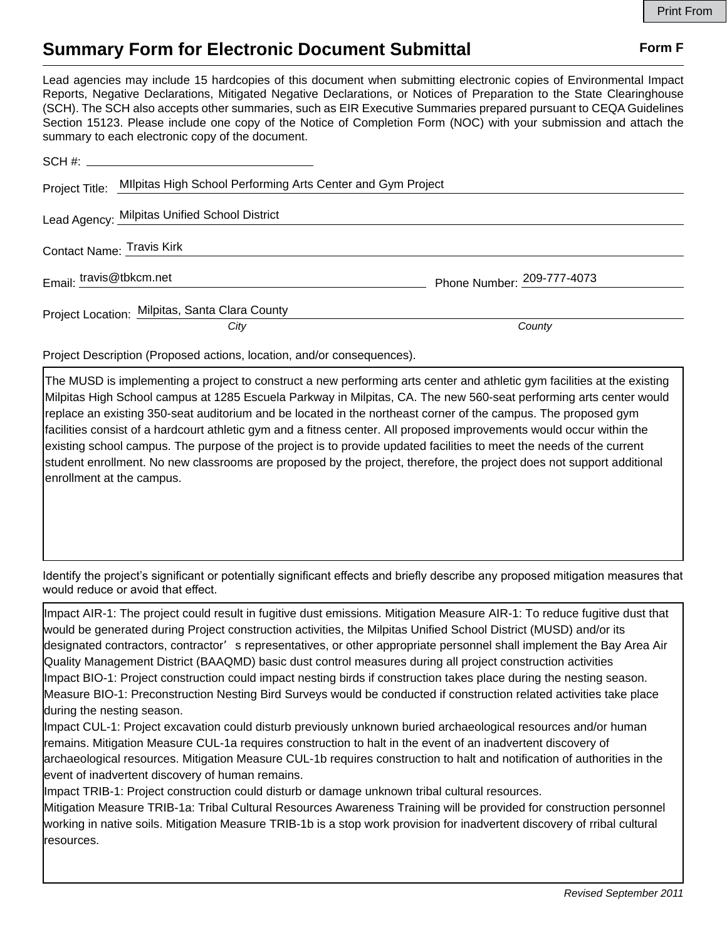## **Summary Form for Electronic Document Submittal Form F Form F**

Lead agencies may include 15 hardcopies of this document when submitting electronic copies of Environmental Impact Reports, Negative Declarations, Mitigated Negative Declarations, or Notices of Preparation to the State Clearinghouse (SCH). The SCH also accepts other summaries, such as EIR Executive Summaries prepared pursuant to CEQA Guidelines Section 15123. Please include one copy of the Notice of Completion Form (NOC) with your submission and attach the summary to each electronic copy of the document.

| Project Title: MIlpitas High School Performing Arts Center and Gym Project |                            |
|----------------------------------------------------------------------------|----------------------------|
| Lead Agency: Milpitas Unified School District                              |                            |
| Contact Name: Travis Kirk                                                  |                            |
| Email: travis@tbkcm.net                                                    | Phone Number: 209-777-4073 |
| Project Location: Milpitas, Santa Clara County                             |                            |
| City                                                                       | County                     |

Project Description (Proposed actions, location, and/or consequences).

The MUSD is implementing a project to construct a new performing arts center and athletic gym facilities at the existing Milpitas High School campus at 1285 Escuela Parkway in Milpitas, CA. The new 560-seat performing arts center would replace an existing 350-seat auditorium and be located in the northeast corner of the campus. The proposed gym facilities consist of a hardcourt athletic gym and a fitness center. All proposed improvements would occur within the existing school campus. The purpose of the project is to provide updated facilities to meet the needs of the current student enrollment. No new classrooms are proposed by the project, therefore, the project does not support additional enrollment at the campus.

Identify the project's significant or potentially significant effects and briefly describe any proposed mitigation measures that would reduce or avoid that effect.

Impact AIR-1: The project could result in fugitive dust emissions. Mitigation Measure AIR-1: To reduce fugitive dust that would be generated during Project construction activities, the Milpitas Unified School District (MUSD) and/or its designated contractors, contractor's representatives, or other appropriate personnel shall implement the Bay Area Air Quality Management District (BAAQMD) basic dust control measures during all project construction activities Impact BIO-1: Project construction could impact nesting birds if construction takes place during the nesting season. Measure BIO-1: Preconstruction Nesting Bird Surveys would be conducted if construction related activities take place during the nesting season.

Impact CUL-1: Project excavation could disturb previously unknown buried archaeological resources and/or human remains. Mitigation Measure CUL-1a requires construction to halt in the event of an inadvertent discovery of archaeological resources. Mitigation Measure CUL-1b requires construction to halt and notification of authorities in the event of inadvertent discovery of human remains.

Impact TRIB-1: Project construction could disturb or damage unknown tribal cultural resources.

Mitigation Measure TRIB-1a: Tribal Cultural Resources Awareness Training will be provided for construction personnel working in native soils. Mitigation Measure TRIB-1b is a stop work provision for inadvertent discovery of rribal cultural resources.